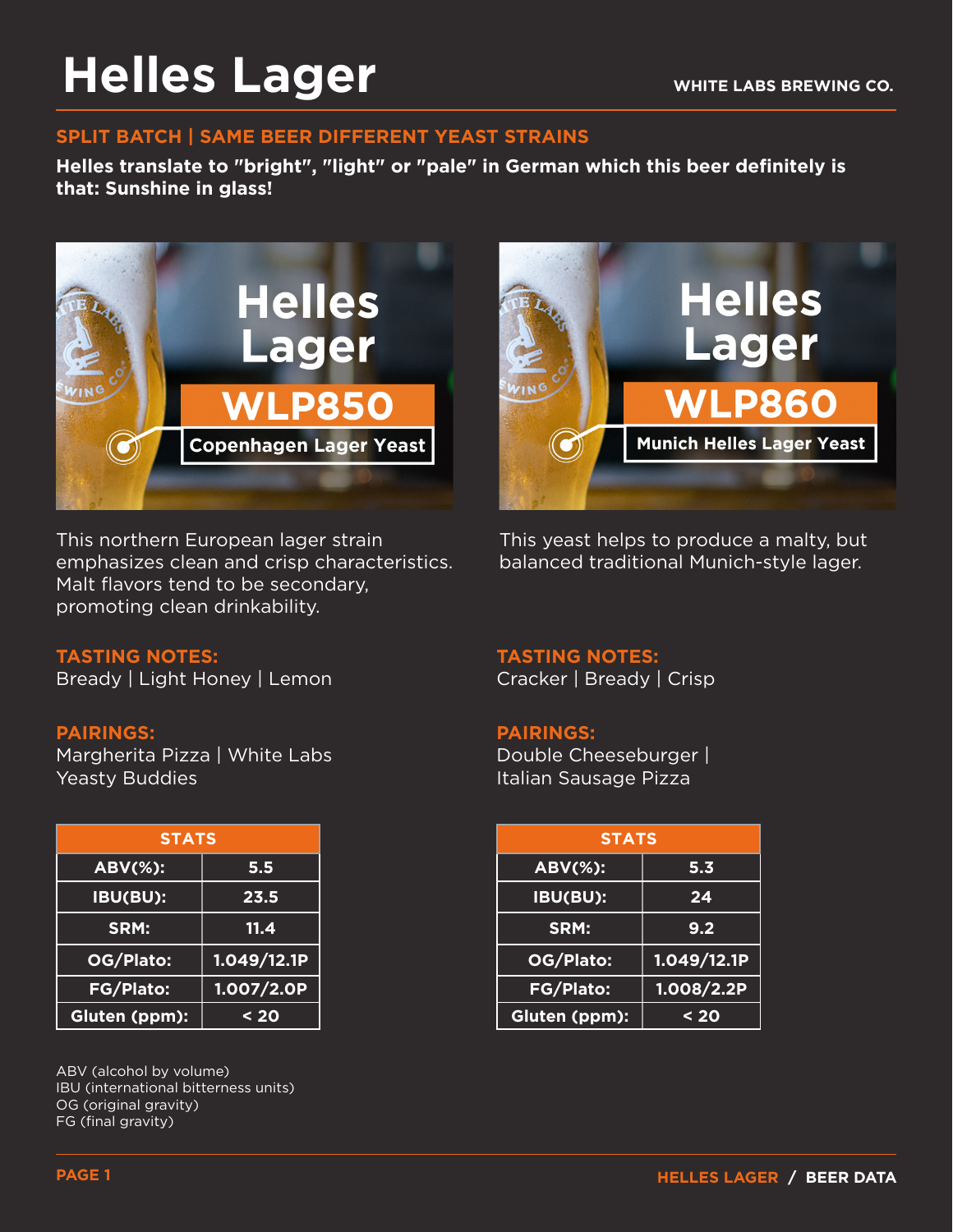# **Helles Lager**

#### **SPLIT BATCH | SAME BEER DIFFERENT YEAST STRAINS**

**Helles translate to "bright", "light" or "pale" in German which this beer definitely is that: Sunshine in glass!** 



This northern European lager strain emphasizes clean and crisp characteristics. Malt flavors tend to be secondary, promoting clean drinkability.



This yeast helps to produce a malty, but balanced traditional Munich-style lager.

### **TASTING NOTES:**

Bready | Light Honey | Lemon

#### **PAIRINGS:**

Margherita Pizza | White Labs Yeasty Buddies

| <b>STATS</b>     |             |
|------------------|-------------|
| <b>ABV(%):</b>   | 5.5         |
| IBU(BU):         | 23.5        |
| SRM:             | 11.4        |
| OG/Plato:        | 1.049/12.1P |
| <b>FG/Plato:</b> | 1.007/2.0P  |
| Gluten (ppm):    | < 20        |

ABV (alcohol by volume) IBU (international bitterness units) OG (original gravity) FG (final gravity)

#### **TASTING NOTES:**

Cracker | Bready | Crisp

#### **PAIRINGS:**

Double Cheeseburger | Italian Sausage Pizza

| <b>STATS</b> |             | <b>STATS</b>   |             |
|--------------|-------------|----------------|-------------|
| Ŧ.           | 5.5         | <b>ABV(%):</b> | 5.3         |
| H            | 23.5        | IBU(BU):       | 24          |
|              | 11.4        | SRM:           | 9.2         |
| :כ           | 1.049/12.1P | OG/Plato:      | 1.049/12.1P |
| $\mathbf{S}$ | 1.007/2.0P  | FG/Plato:      | 1.008/2.2P  |
| $m$ ):       | < 20        | Gluten (ppm):  | $20$        |